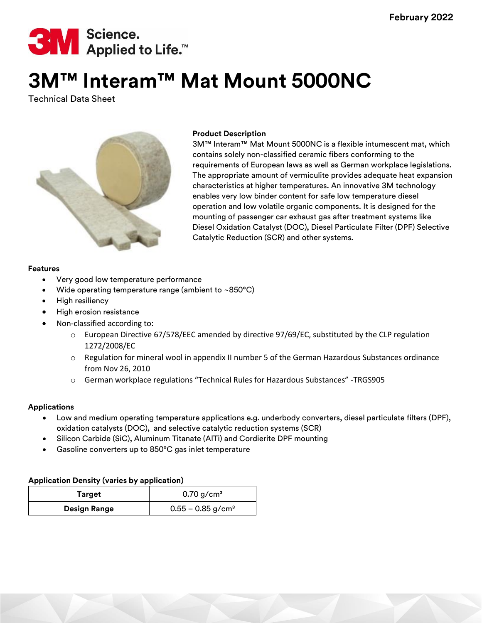

# **3M™ Interam™ Mat Mount 5000NC**

Technical Data Sheet



## **Product Description**

3M™ Interam™ Mat Mount 5000NC is a flexible intumescent mat, which contains solely non-classified ceramic fibers conforming to the requirements of European laws as well as German workplace legislations. The appropriate amount of vermiculite provides adequate heat expansion characteristics at higher temperatures. An innovative 3M technology enables very low binder content for safe low temperature diesel operation and low volatile organic components. It is designed for the mounting of passenger car exhaust gas after treatment systems like Diesel Oxidation Catalyst (DOC), Diesel Particulate Filter (DPF) Selective Catalytic Reduction (SCR) and other systems.

## **Features**

- Very good low temperature performance
- Wide operating temperature range (ambient to  $\sim$ 850°C)
- High resiliency
- High erosion resistance
- Non-classified according to:
	- $\circ$  European Directive 67/578/EEC amended by directive 97/69/EC, substituted by the CLP regulation 1272/2008/EC
	- $\circ$  Regulation for mineral wool in appendix II number 5 of the German Hazardous Substances ordinance from Nov 26, 2010
	- o German workplace regulations "Technical Rules for Hazardous Substances" -TRGS905

## **Applications**

- Low and medium operating temperature applications e.g. underbody converters, diesel particulate filters (DPF), oxidation catalysts (DOC), and selective catalytic reduction systems (SCR)
- Silicon Carbide (SiC), Aluminum Titanate (AlTi) and Cordierite DPF mounting
- Gasoline converters up to 850°C gas inlet temperature

## **Application Density (varies by application)**

| Target              | $0.70$ g/cm <sup>3</sup>        |  |
|---------------------|---------------------------------|--|
| <b>Design Range</b> | $0.55 - 0.85$ g/cm <sup>3</sup> |  |